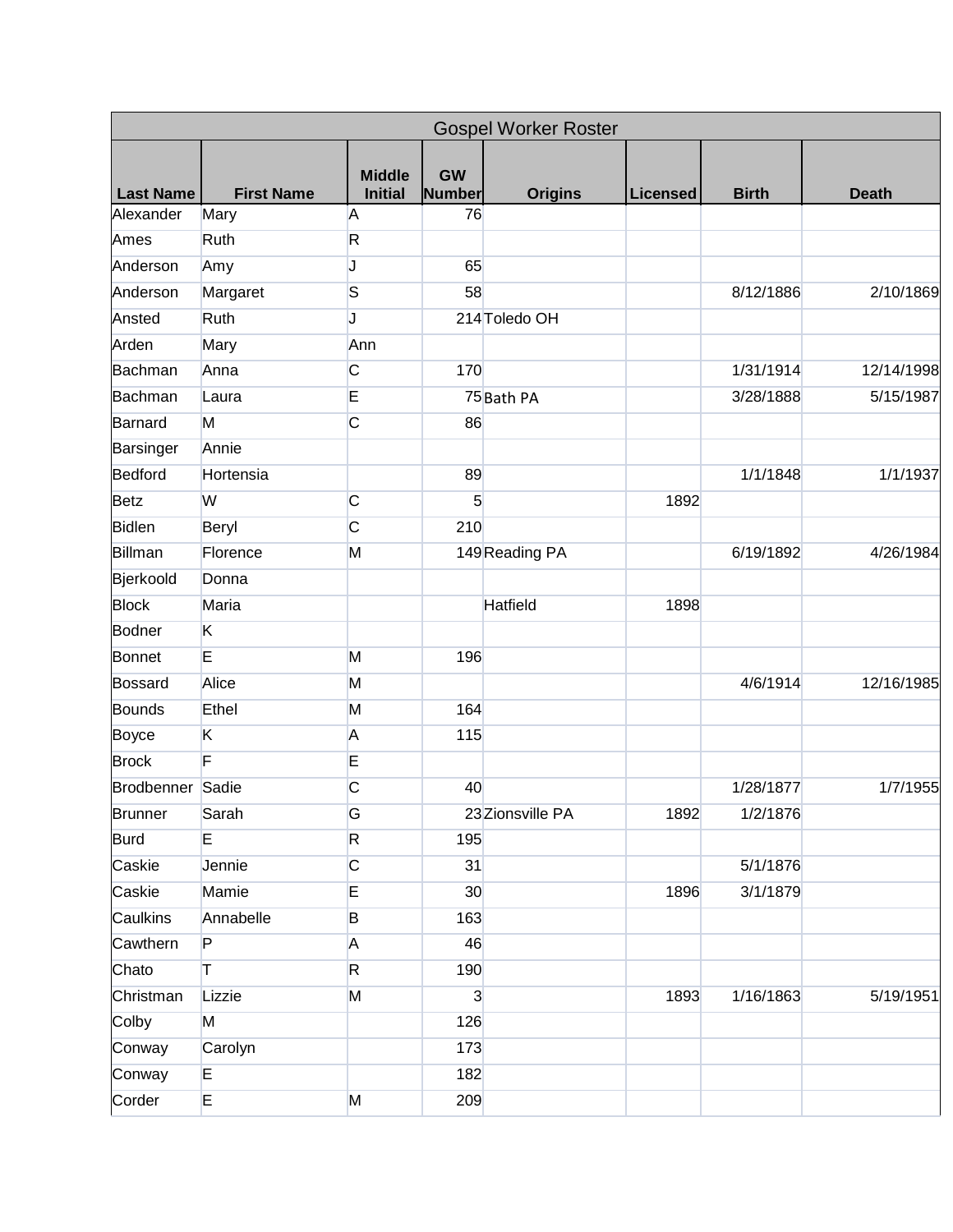| <b>Gospel Worker Roster</b> |                   |                                 |                            |                  |                 |              |              |  |  |
|-----------------------------|-------------------|---------------------------------|----------------------------|------------------|-----------------|--------------|--------------|--|--|
| <b>Last Name</b>            | <b>First Name</b> | <b>Middle</b><br><b>Initial</b> | <b>GW</b><br><b>Number</b> | <b>Origins</b>   | <b>Licensed</b> | <b>Birth</b> | <b>Death</b> |  |  |
| Alexander                   | Mary              | A                               | 76                         |                  |                 |              |              |  |  |
| Ames                        | Ruth              | $\mathsf{R}$                    |                            |                  |                 |              |              |  |  |
| Anderson                    | Amy               | J                               | 65                         |                  |                 |              |              |  |  |
| Anderson                    | Margaret          | S                               | 58                         |                  |                 | 8/12/1886    | 2/10/1869    |  |  |
| Ansted                      | Ruth              | J                               |                            | 214 Toledo OH    |                 |              |              |  |  |
| Arden                       | Mary              | Ann                             |                            |                  |                 |              |              |  |  |
| Bachman                     | Anna              | $\overline{C}$                  | 170                        |                  |                 | 1/31/1914    | 12/14/1998   |  |  |
| Bachman                     | Laura             | E                               |                            | 75 Bath PA       |                 | 3/28/1888    | 5/15/1987    |  |  |
| Barnard                     | M                 | $\overline{C}$                  | 86                         |                  |                 |              |              |  |  |
| Barsinger                   | Annie             |                                 |                            |                  |                 |              |              |  |  |
| Bedford                     | Hortensia         |                                 | 89                         |                  |                 | 1/1/1848     | 1/1/1937     |  |  |
| <b>Betz</b>                 | W                 | $\overline{C}$                  | $5\overline{)}$            |                  | 1892            |              |              |  |  |
| <b>Bidlen</b>               | Beryl             | C                               | 210                        |                  |                 |              |              |  |  |
| Billman                     | Florence          | M                               |                            | 149 Reading PA   |                 | 6/19/1892    | 4/26/1984    |  |  |
| Bjerkoold                   | Donna             |                                 |                            |                  |                 |              |              |  |  |
| <b>Block</b>                | Maria             |                                 |                            | <b>Hatfield</b>  | 1898            |              |              |  |  |
| <b>Bodner</b>               | K                 |                                 |                            |                  |                 |              |              |  |  |
| Bonnet                      | E                 | M                               | 196                        |                  |                 |              |              |  |  |
| Bossard                     | Alice             | M                               |                            |                  |                 | 4/6/1914     | 12/16/1985   |  |  |
| <b>Bounds</b>               | Ethel             | M                               | 164                        |                  |                 |              |              |  |  |
| <b>Boyce</b>                | Κ                 | A                               | 115                        |                  |                 |              |              |  |  |
| <b>Brock</b>                | F                 | E                               |                            |                  |                 |              |              |  |  |
| Brodbenner Sadie            |                   | C                               | 40                         |                  |                 | 1/28/1877    | 1/7/1955     |  |  |
| <b>Brunner</b>              | Sarah             | G                               |                            | 23 Zionsville PA | 1892            | 1/2/1876     |              |  |  |
| <b>Burd</b>                 | E                 | R.                              | 195                        |                  |                 |              |              |  |  |
| Caskie                      | Jennie            | $\overline{C}$                  | 31                         |                  |                 | 5/1/1876     |              |  |  |
| Caskie                      | Mamie             | E                               | 30 <sub>o</sub>            |                  | 1896            | 3/1/1879     |              |  |  |
| Caulkins                    | Annabelle         | B                               | 163                        |                  |                 |              |              |  |  |
| Cawthern                    | P                 | A                               | 46                         |                  |                 |              |              |  |  |
| Chato                       | т                 | R.                              | 190                        |                  |                 |              |              |  |  |
| Christman                   | Lizzie            | M                               | $\mathbf{3}$               |                  | 1893            | 1/16/1863    | 5/19/1951    |  |  |
| Colby                       | M                 |                                 | 126                        |                  |                 |              |              |  |  |
| Conway                      | Carolyn           |                                 | 173                        |                  |                 |              |              |  |  |
| Conway                      | E                 |                                 | 182                        |                  |                 |              |              |  |  |
| Corder                      | E                 | M                               | 209                        |                  |                 |              |              |  |  |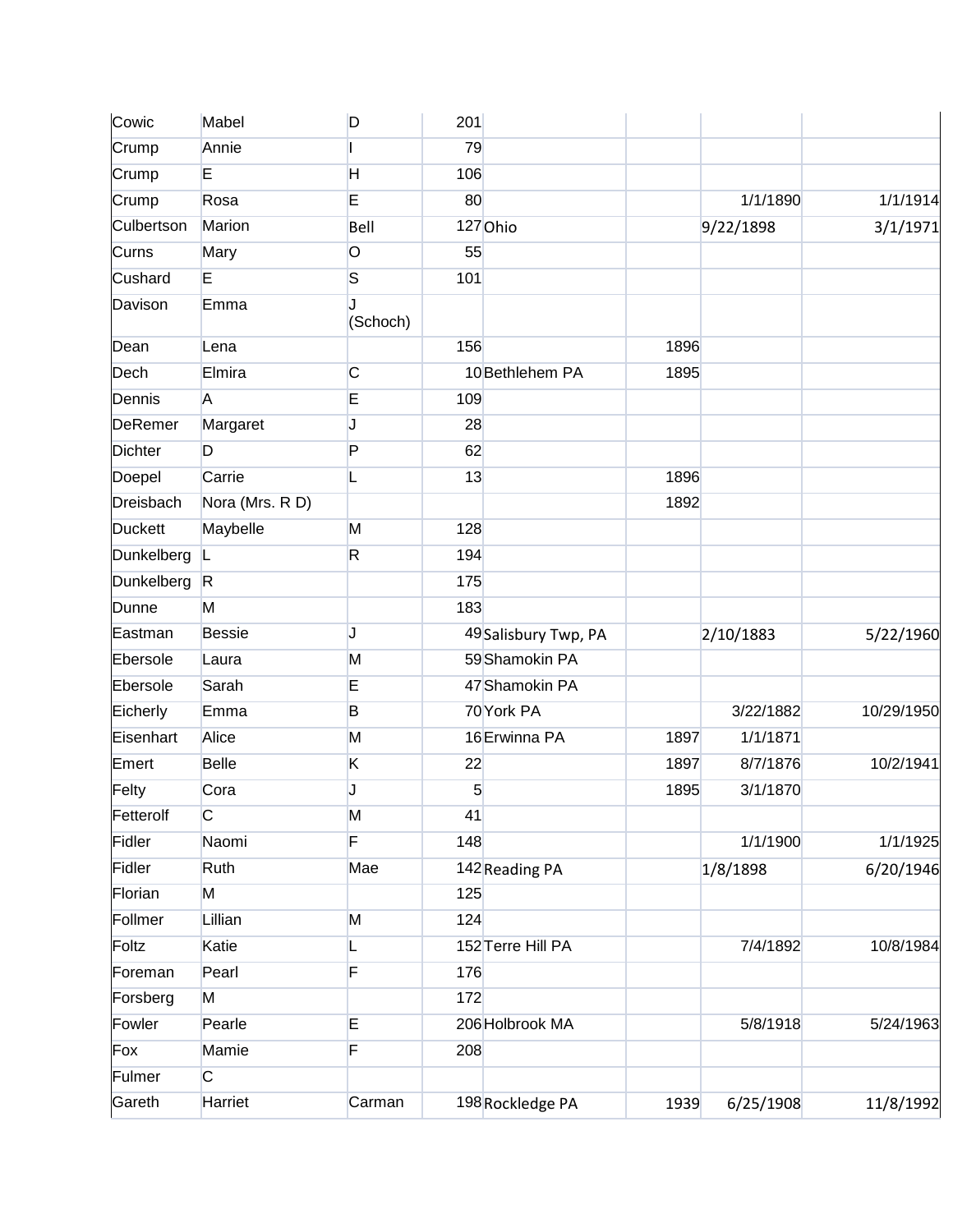| Cowic          | Mabel           | D                       | 201 |                      |      |           |            |
|----------------|-----------------|-------------------------|-----|----------------------|------|-----------|------------|
| Crump          | Annie           |                         | 79  |                      |      |           |            |
| Crump          | E               | H                       | 106 |                      |      |           |            |
| Crump          | Rosa            | E                       | 80  |                      |      | 1/1/1890  | 1/1/1914   |
| Culbertson     | Marion          | Bell                    |     | 127 Ohio             |      | 9/22/1898 | 3/1/1971   |
| Curns          | Mary            | $\circ$                 | 55  |                      |      |           |            |
| Cushard        | E               | $\overline{\mathbf{S}}$ | 101 |                      |      |           |            |
| Davison        | Emma            | J<br>(Schoch)           |     |                      |      |           |            |
| Dean           | Lena            |                         | 156 |                      | 1896 |           |            |
| Dech           | Elmira          | C                       |     | 10 Bethlehem PA      | 1895 |           |            |
| Dennis         | A               | E                       | 109 |                      |      |           |            |
| <b>DeRemer</b> | Margaret        | J                       | 28  |                      |      |           |            |
| <b>Dichter</b> | D               | P                       | 62  |                      |      |           |            |
| Doepel         | Carrie          | L                       | 13  |                      | 1896 |           |            |
| Dreisbach      | Nora (Mrs. R D) |                         |     |                      | 1892 |           |            |
| <b>Duckett</b> | Maybelle        | M                       | 128 |                      |      |           |            |
| Dunkelberg     | L               | $\mathsf{R}$            | 194 |                      |      |           |            |
| Dunkelberg     | R               |                         | 175 |                      |      |           |            |
| Dunne          | M               |                         | 183 |                      |      |           |            |
| Eastman        | <b>Bessie</b>   | J                       |     | 49 Salisbury Twp, PA |      | 2/10/1883 | 5/22/1960  |
| Ebersole       | Laura           | M                       |     | 59 Shamokin PA       |      |           |            |
| Ebersole       | Sarah           | E                       |     | 47 Shamokin PA       |      |           |            |
| Eicherly       | Emma            | B                       |     | 70 York PA           |      | 3/22/1882 | 10/29/1950 |
| Eisenhart      | Alice           | M                       |     | 16 Erwinna PA        | 1897 | 1/1/1871  |            |
| Emert          | <b>Belle</b>    | K                       | 22  |                      | 1897 | 8/7/1876  | 10/2/1941  |
| Felty          | Cora            | J                       | 5   |                      | 1895 | 3/1/1870  |            |
| Fetterolf      | $\overline{C}$  | M                       | 41  |                      |      |           |            |
| Fidler         | Naomi           | F                       | 148 |                      |      | 1/1/1900  | 1/1/1925   |
| Fidler         | Ruth            | Mae                     |     | 142 Reading PA       |      | 1/8/1898  | 6/20/1946  |
| Florian        | M               |                         | 125 |                      |      |           |            |
| Follmer        | Lillian         | M                       | 124 |                      |      |           |            |
| Foltz          | Katie           |                         |     | 152 Terre Hill PA    |      | 7/4/1892  | 10/8/1984  |
| Foreman        | Pearl           | F                       | 176 |                      |      |           |            |
| Forsberg       | M               |                         | 172 |                      |      |           |            |
| Fowler         | Pearle          | E                       |     | 206 Holbrook MA      |      | 5/8/1918  | 5/24/1963  |
| Fox            | Mamie           | F                       | 208 |                      |      |           |            |
| Fulmer         | $\overline{C}$  |                         |     |                      |      |           |            |
| Gareth         | Harriet         | Carman                  |     | 198 Rockledge PA     | 1939 | 6/25/1908 | 11/8/1992  |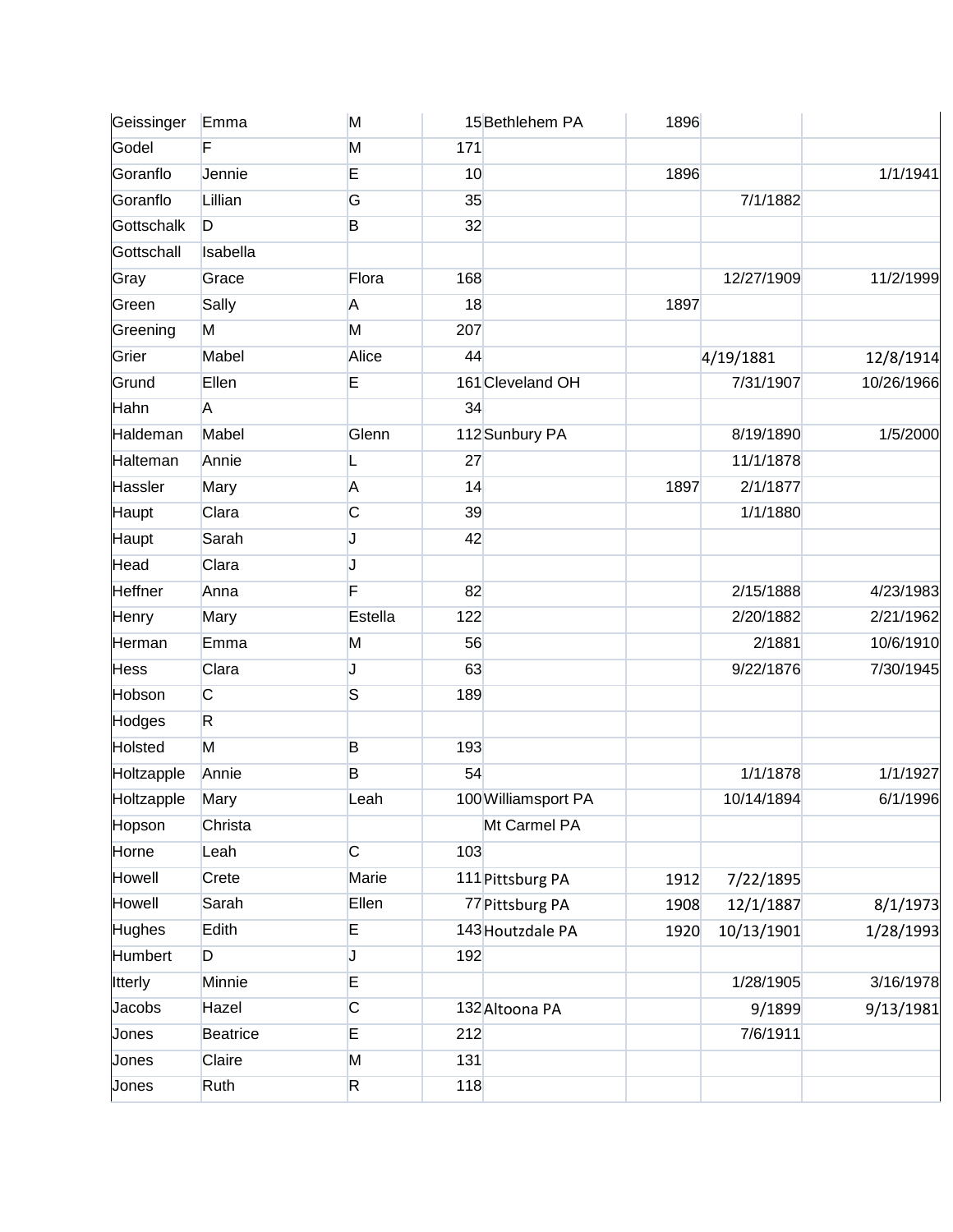| Geissinger     | Emma           | M            |     | 15 Bethlehem PA     | 1896 |            |            |
|----------------|----------------|--------------|-----|---------------------|------|------------|------------|
| Godel          | F              | M            | 171 |                     |      |            |            |
| Goranflo       | Jennie         | E            | 10  |                     | 1896 |            | 1/1/1941   |
| Goranflo       | Lillian        | G            | 35  |                     |      | 7/1/1882   |            |
| Gottschalk     | D              | B            | 32  |                     |      |            |            |
| Gottschall     | Isabella       |              |     |                     |      |            |            |
| Gray           | Grace          | Flora        | 168 |                     |      | 12/27/1909 | 11/2/1999  |
| Green          | Sally          | A            | 18  |                     | 1897 |            |            |
| Greening       | M              | M            | 207 |                     |      |            |            |
| Grier          | Mabel          | Alice        | 44  |                     |      | 4/19/1881  | 12/8/1914  |
| Grund          | Ellen          | E            |     | 161 Cleveland OH    |      | 7/31/1907  | 10/26/1966 |
| Hahn           | A              |              | 34  |                     |      |            |            |
| Haldeman       | Mabel          | Glenn        |     | 112 Sunbury PA      |      | 8/19/1890  | 1/5/2000   |
| Halteman       | Annie          | L            | 27  |                     |      | 11/1/1878  |            |
| Hassler        | Mary           | A            | 14  |                     | 1897 | 2/1/1877   |            |
| Haupt          | Clara          | C            | 39  |                     |      | 1/1/1880   |            |
| Haupt          | Sarah          | J            | 42  |                     |      |            |            |
| Head           | Clara          | J            |     |                     |      |            |            |
| <b>Heffner</b> | Anna           | F            | 82  |                     |      | 2/15/1888  | 4/23/1983  |
| Henry          | Mary           | Estella      | 122 |                     |      | 2/20/1882  | 2/21/1962  |
| Herman         | Emma           | M            | 56  |                     |      | 2/1881     | 10/6/1910  |
| <b>Hess</b>    | Clara          | J            | 63  |                     |      | 9/22/1876  | 7/30/1945  |
| Hobson         | $\overline{C}$ | S            | 189 |                     |      |            |            |
| Hodges         | $\mathsf{R}$   |              |     |                     |      |            |            |
| Holsted        | M              | B            | 193 |                     |      |            |            |
| Holtzapple     | Annie          | B            | 54  |                     |      | 1/1/1878   | 1/1/1927   |
| Holtzapple     | Mary           | Leah         |     | 100 Williamsport PA |      | 10/14/1894 | 6/1/1996   |
| Hopson         | Christa        |              |     | Mt Carmel PA        |      |            |            |
| Horne          | Leah           | $\mathsf{C}$ | 103 |                     |      |            |            |
| Howell         | Crete          | Marie        |     | 111 Pittsburg PA    | 1912 | 7/22/1895  |            |
| Howell         | Sarah          | Ellen        |     | 77 Pittsburg PA     | 1908 | 12/1/1887  | 8/1/1973   |
| Hughes         | Edith          | E            |     | 143 Houtzdale PA    | 1920 | 10/13/1901 | 1/28/1993  |
| Humbert        | D              | J            | 192 |                     |      |            |            |
| <b>Itterly</b> | Minnie         | E            |     |                     |      | 1/28/1905  | 3/16/1978  |
| Jacobs         | Hazel          | C            |     | 132 Altoona PA      |      | 9/1899     | 9/13/1981  |
| Jones          | Beatrice       | E            | 212 |                     |      | 7/6/1911   |            |
| Jones          | Claire         | M            | 131 |                     |      |            |            |
| Jones          | Ruth           | R            | 118 |                     |      |            |            |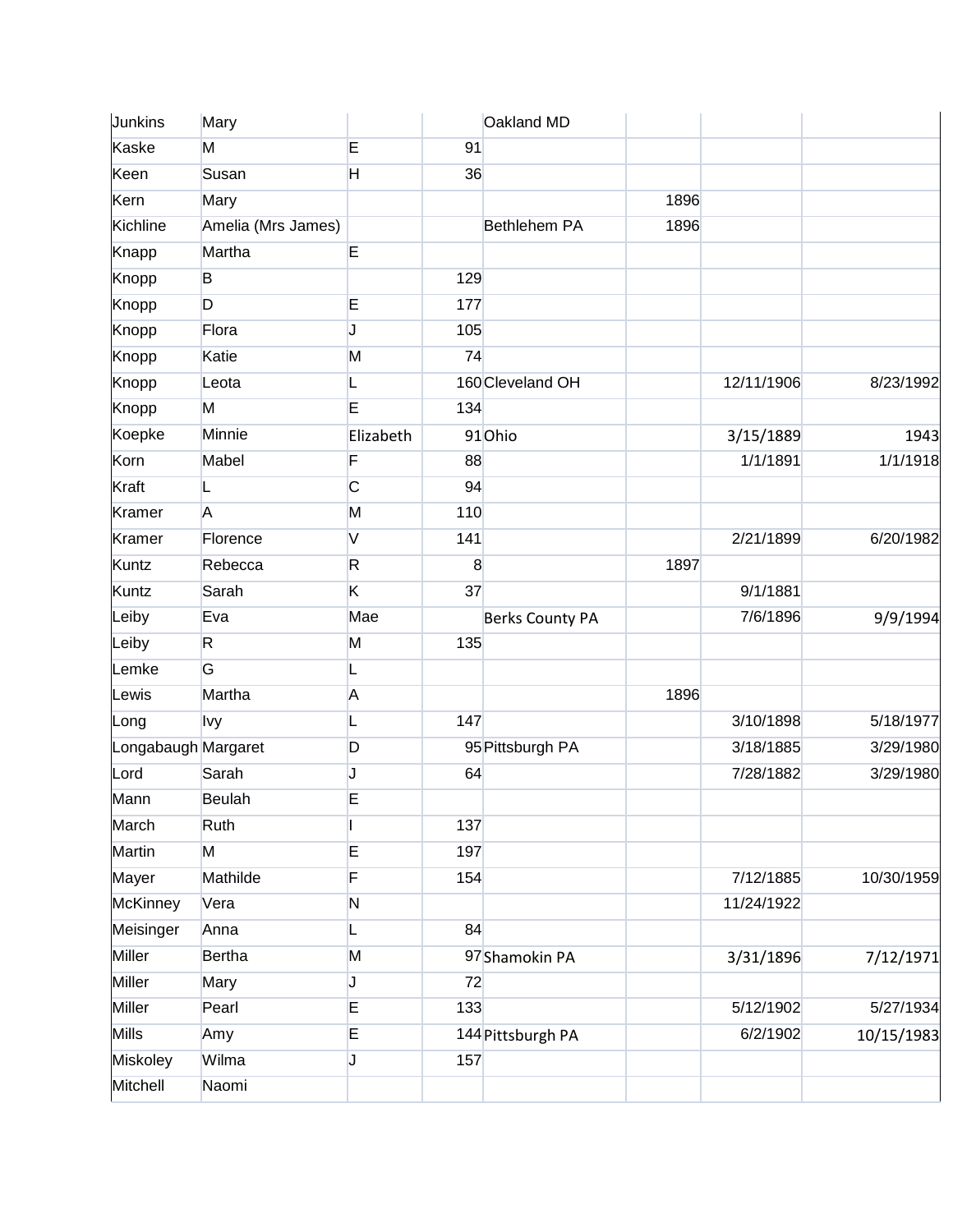| Junkins             | Mary               |              |     | Oakland MD             |      |            |            |
|---------------------|--------------------|--------------|-----|------------------------|------|------------|------------|
| Kaske               | M                  | E            | 91  |                        |      |            |            |
| Keen                | Susan              | H            | 36  |                        |      |            |            |
| Kern                | Mary               |              |     |                        | 1896 |            |            |
| Kichline            | Amelia (Mrs James) |              |     | <b>Bethlehem PA</b>    | 1896 |            |            |
| Knapp               | Martha             | E            |     |                        |      |            |            |
| Knopp               | B                  |              | 129 |                        |      |            |            |
| Knopp               | D                  | E            | 177 |                        |      |            |            |
| Knopp               | Flora              | J            | 105 |                        |      |            |            |
| Knopp               | Katie              | M            | 74  |                        |      |            |            |
| Knopp               | Leota              | L            |     | 160 Cleveland OH       |      | 12/11/1906 | 8/23/1992  |
| Knopp               | M                  | E            | 134 |                        |      |            |            |
| Koepke              | Minnie             | Elizabeth    |     | 91Ohio                 |      | 3/15/1889  | 1943       |
| Korn                | Mabel              | F            | 88  |                        |      | 1/1/1891   | 1/1/1918   |
| Kraft               | L                  | C            | 94  |                        |      |            |            |
| Kramer              | A                  | M            | 110 |                        |      |            |            |
| <b>Kramer</b>       | Florence           | $\mathsf{V}$ | 141 |                        |      | 2/21/1899  | 6/20/1982  |
| Kuntz               | Rebecca            | R.           | 8   |                        | 1897 |            |            |
| Kuntz               | Sarah              | K            | 37  |                        |      | 9/1/1881   |            |
| Leiby               | Eva                | Mae          |     | <b>Berks County PA</b> |      | 7/6/1896   | 9/9/1994   |
| Leiby               | R.                 | M            | 135 |                        |      |            |            |
| Lemke               | G                  | L            |     |                        |      |            |            |
| Lewis               | Martha             | A            |     |                        | 1896 |            |            |
| Long                | <b>lvy</b>         | L            | 147 |                        |      | 3/10/1898  | 5/18/1977  |
| Longabaugh Margaret |                    | D            |     | 95 Pittsburgh PA       |      | 3/18/1885  | 3/29/1980  |
| Lord                | Sarah              | J            | 64  |                        |      | 7/28/1882  | 3/29/1980  |
| Mann                | <b>Beulah</b>      | E            |     |                        |      |            |            |
| March               | Ruth               |              | 137 |                        |      |            |            |
| Martin              | M                  | E            | 197 |                        |      |            |            |
| Mayer               | Mathilde           | F            | 154 |                        |      | 7/12/1885  | 10/30/1959 |
| <b>McKinney</b>     | Vera               | $\mathsf{N}$ |     |                        |      | 11/24/1922 |            |
| Meisinger           | Anna               | L            | 84  |                        |      |            |            |
| <b>Miller</b>       | <b>Bertha</b>      | M            |     | 97 Shamokin PA         |      | 3/31/1896  | 7/12/1971  |
| Miller              | Mary               | J            | 72  |                        |      |            |            |
| Miller              | Pearl              | E            | 133 |                        |      | 5/12/1902  | 5/27/1934  |
| <b>Mills</b>        | Amy                | E            |     | 144 Pittsburgh PA      |      | 6/2/1902   | 10/15/1983 |
| Miskoley            | Wilma              | J            | 157 |                        |      |            |            |
| Mitchell            | Naomi              |              |     |                        |      |            |            |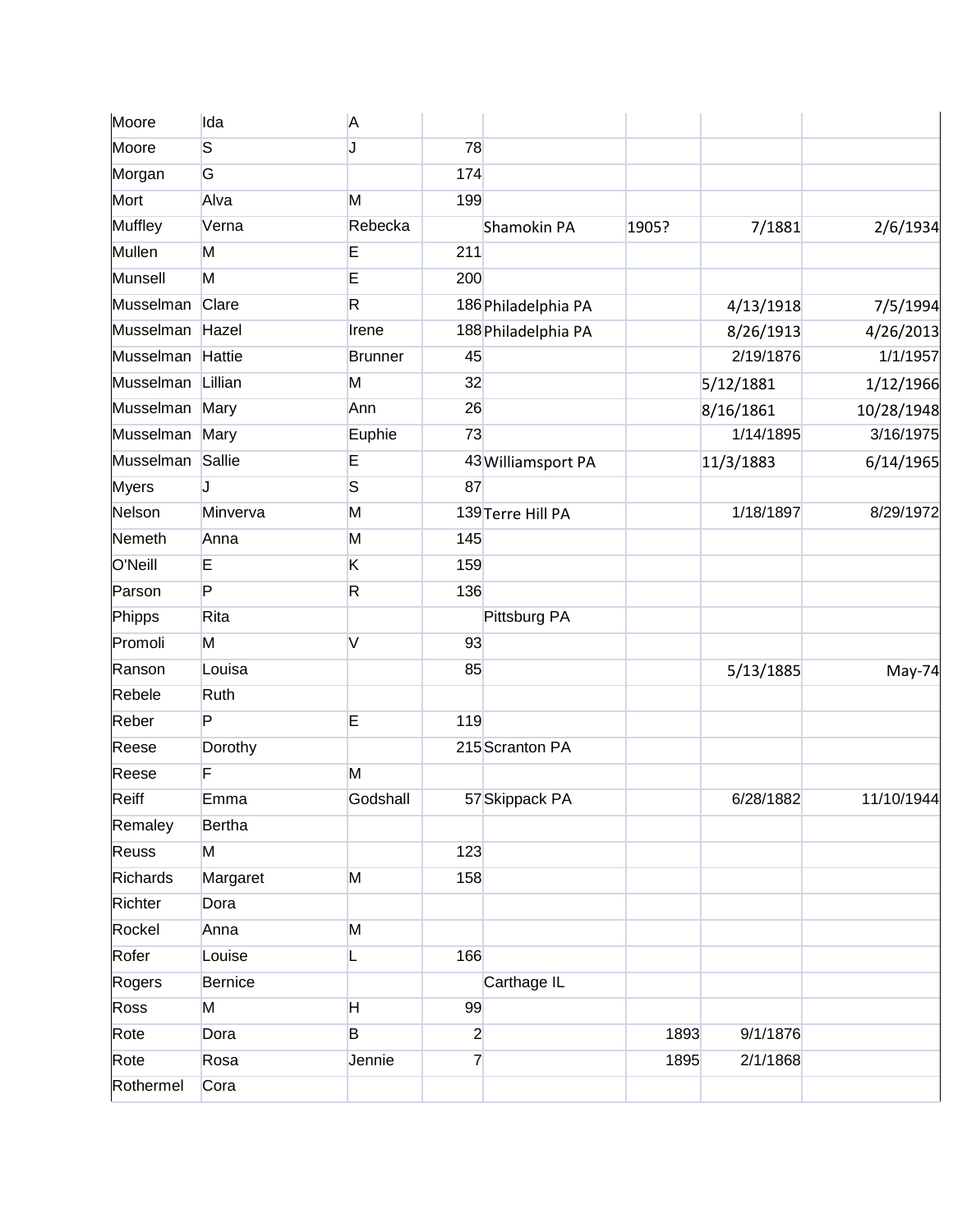| Moore            | Ida            | A              |                |                     |       |           |            |
|------------------|----------------|----------------|----------------|---------------------|-------|-----------|------------|
| Moore            | S              | J              | 78             |                     |       |           |            |
| Morgan           | G              |                | 174            |                     |       |           |            |
| Mort             | Alva           | M              | 199            |                     |       |           |            |
| <b>Muffley</b>   | Verna          | Rebecka        |                | Shamokin PA         | 1905? | 7/1881    | 2/6/1934   |
| Mullen           | M              | E              | 211            |                     |       |           |            |
| Munsell          | M              | E              | 200            |                     |       |           |            |
| Musselman        | Clare          | R.             |                | 186 Philadelphia PA |       | 4/13/1918 | 7/5/1994   |
| Musselman Hazel  |                | Irene          |                | 188 Philadelphia PA |       | 8/26/1913 | 4/26/2013  |
| Musselman        | Hattie         | <b>Brunner</b> | 45             |                     |       | 2/19/1876 | 1/1/1957   |
| Musselman        | Lillian        | M              | 32             |                     |       | 5/12/1881 | 1/12/1966  |
| Musselman        | Mary           | Ann            | 26             |                     |       | 8/16/1861 | 10/28/1948 |
| Musselman Mary   |                | Euphie         | 73             |                     |       | 1/14/1895 | 3/16/1975  |
| Musselman Sallie |                | E              |                | 43 Williamsport PA  |       | 11/3/1883 | 6/14/1965  |
| <b>Myers</b>     | J              | S              | 87             |                     |       |           |            |
| Nelson           | Minverva       | M              |                | 139 Terre Hill PA   |       | 1/18/1897 | 8/29/1972  |
| Nemeth           | Anna           | M              | 145            |                     |       |           |            |
| O'Neill          | E              | K              | 159            |                     |       |           |            |
| Parson           | P              | R              | 136            |                     |       |           |            |
| Phipps           | Rita           |                |                | Pittsburg PA        |       |           |            |
| Promoli          | M              | V              | 93             |                     |       |           |            |
| Ranson           | Louisa         |                | 85             |                     |       | 5/13/1885 | May-74     |
| Rebele           | Ruth           |                |                |                     |       |           |            |
| Reber            | P              | E              | 119            |                     |       |           |            |
| Reese            | Dorothy        |                |                | 215 Scranton PA     |       |           |            |
| Reese            | F              | M              |                |                     |       |           |            |
| Reiff            | Emma           | Godshall       |                | 57 Skippack PA      |       | 6/28/1882 | 11/10/1944 |
| Remaley          | Bertha         |                |                |                     |       |           |            |
| Reuss            | M              |                | 123            |                     |       |           |            |
| Richards         | Margaret       | M              | 158            |                     |       |           |            |
| Richter          | Dora           |                |                |                     |       |           |            |
| Rockel           | Anna           | M              |                |                     |       |           |            |
| Rofer            | Louise         | L              | 166            |                     |       |           |            |
| Rogers           | <b>Bernice</b> |                |                | Carthage IL         |       |           |            |
| Ross             | M              | H.             | 99             |                     |       |           |            |
| Rote             | Dora           | B              | $\overline{2}$ |                     | 1893  | 9/1/1876  |            |
| Rote             | Rosa           | Jennie         | $\overline{7}$ |                     | 1895  | 2/1/1868  |            |
| Rothermel        | Cora           |                |                |                     |       |           |            |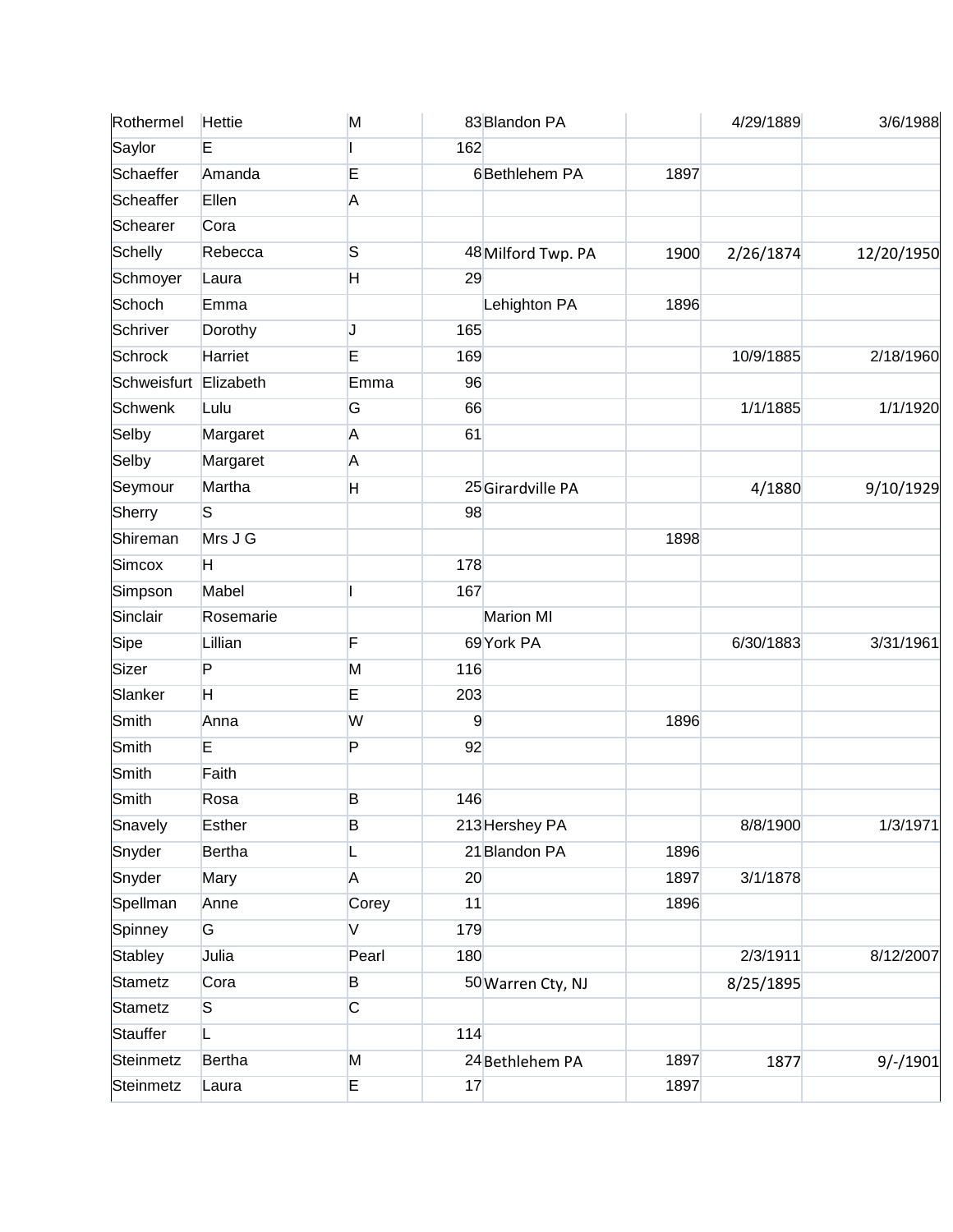| Rothermel             | Hettie         | M                 |     | 83 Blandon PA      |      | 4/29/1889 | 3/6/1988   |
|-----------------------|----------------|-------------------|-----|--------------------|------|-----------|------------|
| Saylor                | E              |                   | 162 |                    |      |           |            |
| Schaeffer             | Amanda         | E                 |     | 6Bethlehem PA      | 1897 |           |            |
| Scheaffer             | Ellen          | A                 |     |                    |      |           |            |
| Schearer              | Cora           |                   |     |                    |      |           |            |
| Schelly               | Rebecca        | S                 |     | 48 Milford Twp. PA | 1900 | 2/26/1874 | 12/20/1950 |
| Schmoyer              | Laura          | H                 | 29  |                    |      |           |            |
| Schoch                | Emma           |                   |     | Lehighton PA       | 1896 |           |            |
| Schriver              | Dorothy        | J                 | 165 |                    |      |           |            |
| Schrock               | Harriet        | E                 | 169 |                    |      | 10/9/1885 | 2/18/1960  |
| Schweisfurt Elizabeth |                | Emma              | 96  |                    |      |           |            |
| Schwenk               | Lulu           | G                 | 66  |                    |      | 1/1/1885  | 1/1/1920   |
| Selby                 | Margaret       | A                 | 61  |                    |      |           |            |
| Selby                 | Margaret       | A                 |     |                    |      |           |            |
| Seymour               | Martha         | H                 |     | 25 Girardville PA  |      | 4/1880    | 9/10/1929  |
| Sherry                | S              |                   | 98  |                    |      |           |            |
| Shireman              | Mrs J G        |                   |     |                    | 1898 |           |            |
| Simcox                | H.             |                   | 178 |                    |      |           |            |
| Simpson               | Mabel          |                   | 167 |                    |      |           |            |
| Sinclair              | Rosemarie      |                   |     | <b>Marion MI</b>   |      |           |            |
| Sipe                  | Lillian        | F                 |     | 69 York PA         |      | 6/30/1883 | 3/31/1961  |
| Sizer                 | $\overline{P}$ | M                 | 116 |                    |      |           |            |
| Slanker               | H              | E                 | 203 |                    |      |           |            |
| Smith                 | Anna           | W                 | 9   |                    | 1896 |           |            |
| Smith                 | E              | P                 | 92  |                    |      |           |            |
| Smith                 | Faith          |                   |     |                    |      |           |            |
| Smith                 | Rosa           | B                 | 146 |                    |      |           |            |
| Snavely               | <b>Esther</b>  | B                 |     | 213 Hershey PA     |      | 8/8/1900  | 1/3/1971   |
| Snyder                | <b>Bertha</b>  | L                 |     | 21 Blandon PA      | 1896 |           |            |
| Snyder                | Mary           | A                 | 20  |                    | 1897 | 3/1/1878  |            |
| Spellman              | Anne           | Corey             | 11  |                    | 1896 |           |            |
| Spinney               | G              | $\overline{\vee}$ | 179 |                    |      |           |            |
| Stabley               | Julia          | Pearl             | 180 |                    |      | 2/3/1911  | 8/12/2007  |
| Stametz               | Cora           | B                 |     | 50 Warren Cty, NJ  |      | 8/25/1895 |            |
| Stametz               | S              | C                 |     |                    |      |           |            |
| Stauffer              | L              |                   | 114 |                    |      |           |            |
| Steinmetz             | Bertha         | M                 |     | 24 Bethlehem PA    | 1897 | 1877      | $9/-/1901$ |
| Steinmetz             | Laura          | E.                | 17  |                    | 1897 |           |            |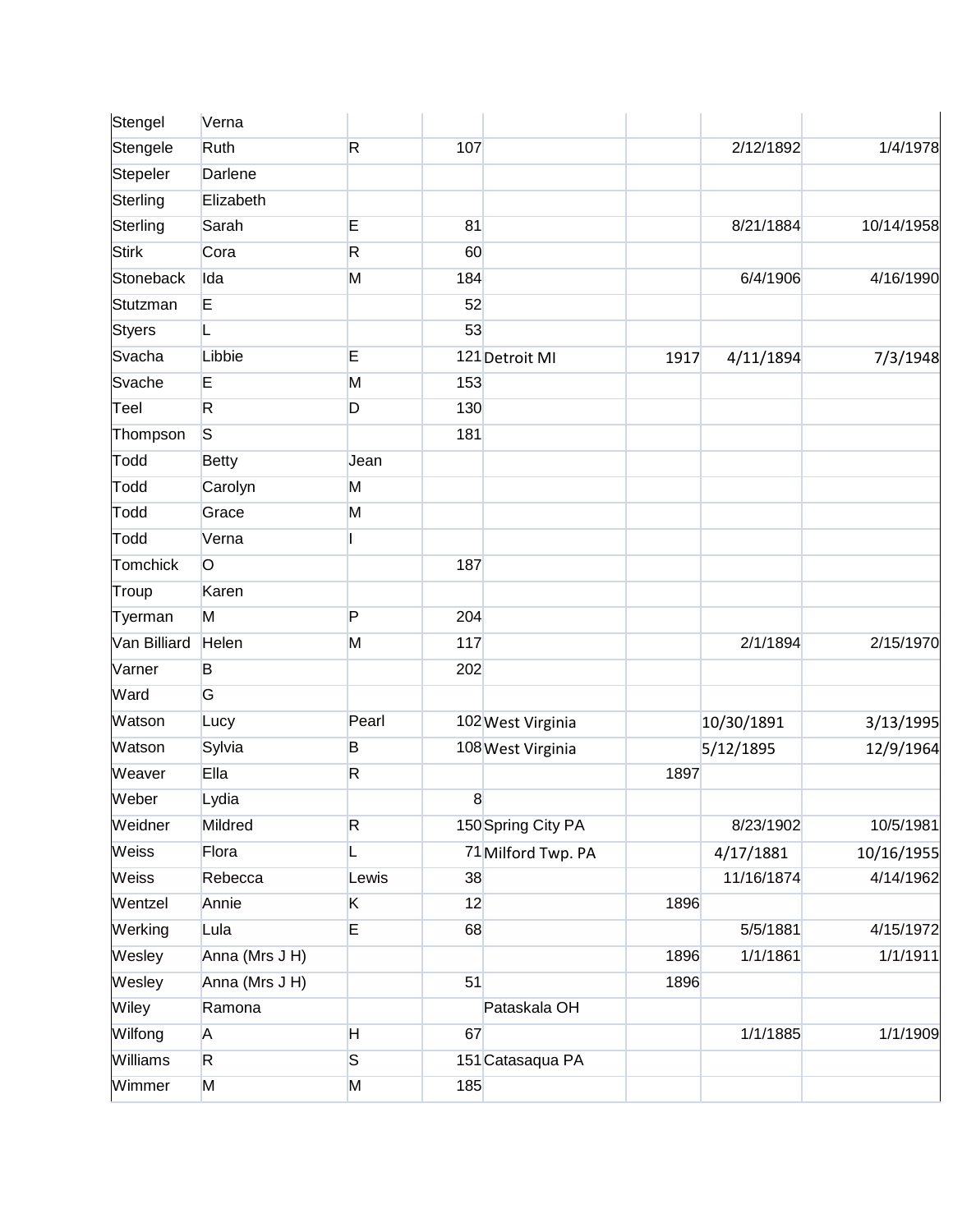| Stengel       | Verna          |       |     |                    |      |            |            |
|---------------|----------------|-------|-----|--------------------|------|------------|------------|
| Stengele      | Ruth           | R.    | 107 |                    |      | 2/12/1892  | 1/4/1978   |
| Stepeler      | Darlene        |       |     |                    |      |            |            |
| Sterling      | Elizabeth      |       |     |                    |      |            |            |
| Sterling      | Sarah          | E     | 81  |                    |      | 8/21/1884  | 10/14/1958 |
| <b>Stirk</b>  | Cora           | R     | 60  |                    |      |            |            |
| Stoneback     | Ida            | M     | 184 |                    |      | 6/4/1906   | 4/16/1990  |
| Stutzman      | E              |       | 52  |                    |      |            |            |
| <b>Styers</b> | L              |       | 53  |                    |      |            |            |
| Svacha        | Libbie         | E     |     | 121 Detroit MI     | 1917 | 4/11/1894  | 7/3/1948   |
| Svache        | E              | M     | 153 |                    |      |            |            |
| Teel          | R.             | D     | 130 |                    |      |            |            |
| Thompson      | <sub>S</sub>   |       | 181 |                    |      |            |            |
| Todd          | <b>Betty</b>   | Jean  |     |                    |      |            |            |
| Todd          | Carolyn        | M     |     |                    |      |            |            |
| Todd          | Grace          | M     |     |                    |      |            |            |
| Todd          | Verna          |       |     |                    |      |            |            |
| Tomchick      | $\circ$        |       | 187 |                    |      |            |            |
| Troup         | Karen          |       |     |                    |      |            |            |
| Tyerman       | M              | P     | 204 |                    |      |            |            |
| Van Billiard  | Helen          | M     | 117 |                    |      | 2/1/1894   | 2/15/1970  |
| Varner        | B              |       | 202 |                    |      |            |            |
| Ward          | G              |       |     |                    |      |            |            |
| Watson        | Lucy           | Pearl |     | 102 West Virginia  |      | 10/30/1891 | 3/13/1995  |
| Watson        | Sylvia         | B     |     | 108 West Virginia  |      | 5/12/1895  | 12/9/1964  |
| Weaver        | Ella           | R     |     |                    | 1897 |            |            |
| Weber         | Lydia          |       | 8   |                    |      |            |            |
| Weidner       | Mildred        | R     |     | 150 Spring City PA |      | 8/23/1902  | 10/5/1981  |
| Weiss         | Flora          | L     |     | 71 Milford Twp. PA |      | 4/17/1881  | 10/16/1955 |
| Weiss         | Rebecca        | Lewis | 38  |                    |      | 11/16/1874 | 4/14/1962  |
| Wentzel       | Annie          | K     | 12  |                    | 1896 |            |            |
| Werking       | Lula           | E     | 68  |                    |      | 5/5/1881   | 4/15/1972  |
| Wesley        | Anna (Mrs J H) |       |     |                    | 1896 | 1/1/1861   | 1/1/1911   |
| Wesley        | Anna (Mrs J H) |       | 51  |                    | 1896 |            |            |
| Wiley         | Ramona         |       |     | Pataskala OH       |      |            |            |
| Wilfong       | A              | H     | 67  |                    |      | 1/1/1885   | 1/1/1909   |
| Williams      | R.             | S     |     | 151 Catasaqua PA   |      |            |            |
| Wimmer        | M              | M     | 185 |                    |      |            |            |